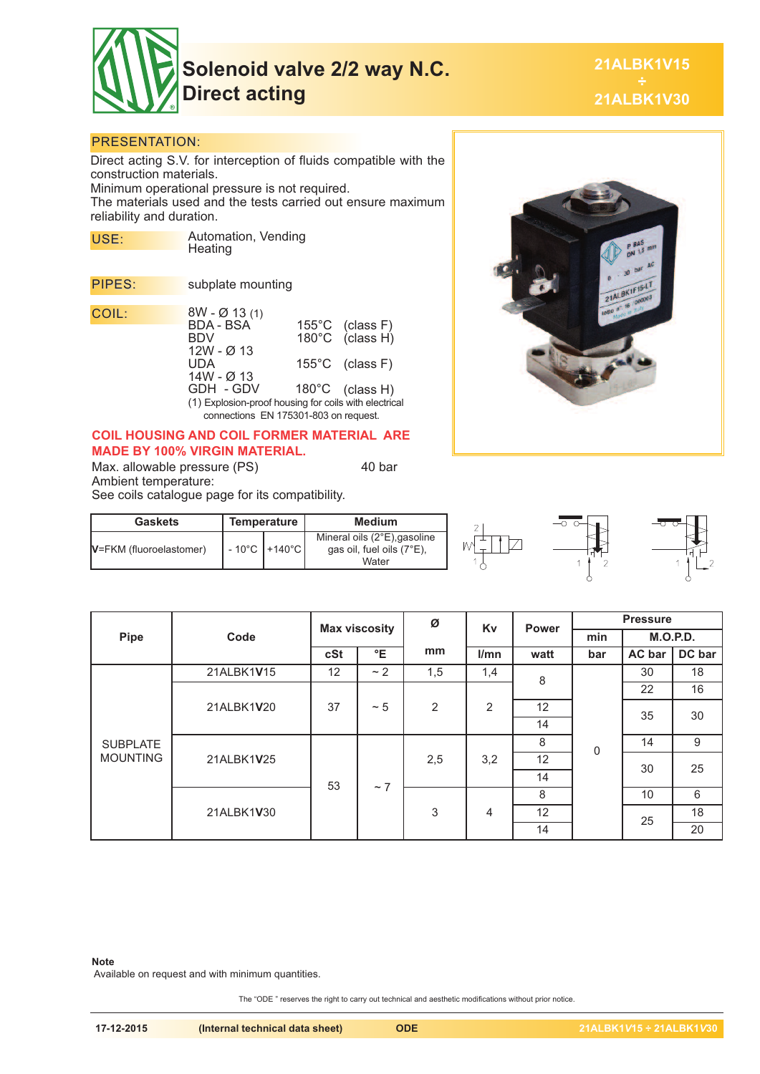

**Solenoid valve 2/2 way N.C. Direct acting**

**21ALBK1V15 21ALBK1V30**

### PRESENTATION:

Direct acting S.V. for interception of fluids compatible with the construction materials. Minimum operational pressure is not required.

The materials used and the tests carried out ensure maximum reliability and duration.

| USE:   | Automation, Vending<br>Heating                       |                                       |                                    |  |  |  |  |
|--------|------------------------------------------------------|---------------------------------------|------------------------------------|--|--|--|--|
|        |                                                      |                                       |                                    |  |  |  |  |
| PIPES: | subplate mounting                                    |                                       |                                    |  |  |  |  |
| COIL:  | $8W - \varnothing$ 13 (1)                            |                                       |                                    |  |  |  |  |
|        | BDA - BSA                                            |                                       |                                    |  |  |  |  |
|        | BDV                                                  |                                       | 155°C (class F)<br>180°C (class H) |  |  |  |  |
|        | 12W - Ø 13                                           |                                       |                                    |  |  |  |  |
|        | UDA                                                  |                                       | $155^{\circ}$ C (class F)          |  |  |  |  |
|        | 14W - Ø 13                                           |                                       |                                    |  |  |  |  |
|        | GDH - GDV                                            |                                       | 180°C (class H)                    |  |  |  |  |
|        | (1) Explosion-proof housing for coils with electrica |                                       |                                    |  |  |  |  |
|        |                                                      | connections EN 175301-803 on request. |                                    |  |  |  |  |

## **COIL HOUSING AND COIL FORMER MATERIAL ARE MADE BY 100% VIRGIN MATERIAL.**

Max. allowable pressure (PS) 40 bar Ambient temperature:

**Gaskets Temperature Medium**

See coils catalogue page for its compatibility.

 $V=FKM$  (fluoroelastomer)  $\Big|$  - 10°C +140°C





|                                    | Code       | <b>Max viscosity</b> |           | Ø              | Kv             | <b>Power</b>    | <b>Pressure</b> |                 |          |
|------------------------------------|------------|----------------------|-----------|----------------|----------------|-----------------|-----------------|-----------------|----------|
| Pipe                               |            |                      |           |                |                |                 | min             | <b>M.O.P.D.</b> |          |
|                                    |            | cSt                  | °E        | mm             | l/mn           | watt            | bar             | AC bar          | DC bar   |
| <b>SUBPLATE</b><br><b>MOUNTING</b> | 21ALBK1V15 | 12                   | ~2        | 1,5            | 1,4            | 8<br>12         |                 | 30              | 18       |
|                                    | 21ALBK1V20 | 37                   | $~\sim 5$ | $\overline{2}$ | $\overline{2}$ |                 |                 | 22              | 16       |
|                                    |            |                      |           |                |                |                 | 35              | 30              |          |
|                                    |            |                      |           |                |                | 14              | $\mathbf 0$     |                 |          |
|                                    | 21ALBK1V25 |                      |           | 2,5            | 3,2            | 8               |                 | 14              | 9        |
|                                    |            |                      |           |                |                | 12              |                 |                 | 25<br>30 |
|                                    |            | 53                   | $~\sim$ 7 |                |                | 14              |                 |                 |          |
|                                    | 21ALBK1V30 |                      |           | $\mathsf 3$    | 4              | 8               |                 | 10              | 6        |
|                                    |            |                      |           |                |                | 12 <sup>2</sup> | 25              | 18              |          |
|                                    |            |                      |           |                |                | 14              |                 |                 | 20       |

Mineral oils (2°E),gasoline gas oil, fuel oils (7°E), Water

#### **Note**

Available on request and with minimum quantities.

The "ODE " reserves the right to carry out technical and aesthetic modifications without prior notice.